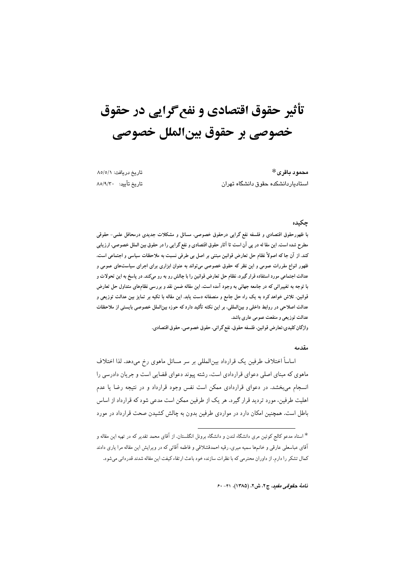# تأثیر حقوق اقتصادی و نفع گرایی در حقوق خصوصي بر حقوق بينالملل خصوصي

تاريخ دريافت: ٨٥/٥/١ تاريخ تأييد: ٨٥/٩/٣٠

محمود باقرى\* استادیاردانشکده حقوق دانشگاه تهران

## حكىدە

با ظهورحقوق اقتصادی و فلسفه نفع گرایی درحقوق خصوصی، مسائل و مشکلات جدیدی درمحافل علمی- حقوقی مطرح شده است. این مقا له در پی آن است تا آثار حقوق اقتصادی و نفع گرایی را در حقوق بین الملل خصوصی، ارزیابی كند. از آن جاكه اصولاً نظام حل تعارض قوانين مبتني بر اصل بي طرفي نسبت به ملاحظات سياسي و اجتماعي است. ظهور انواع مقررات عمومی و این نظر که حقوق خصوصی می،تواند به عنوان ابزاری برای اجرای سیاستهای عمومی و عدالت اجتماعی مورد استفاده قرار گیرد. نظام حل تعارض قوانین را با چالش رو به رو میکند. در پاسخ به این تحولات و با توجه به تغییراتی که در جامعه جهانی به وجود آمده است. این مقاله ضمن نقد و بررسی نظامهای متداول حل تعارض قوانین. تلاش خواهد کرد به یک راه حل جامع و منصفانه دست یابد. این مقاله با تکیه بر تمایز بین عدالت توزیعی و عدالت اصلاحی در روابط داخلی و بین|لمللی، بر این نکته تأکید دارد که حوزه بین|لملل خصوصی بایستی از ملاحظات عدالت توزيعي و منفعت عمومي عاري باشد.

واژگان كليدي:تعارض قوانين، فلسفه حقوق، نفع گرائي، حقوق خصوصي، حقوق اقتصادي.

#### مقدمه

اساساً اختلاف طرفین یک قرارداد بین|لمللی بر سر مسائل ماهوی رخ میدهد. لذا اختلاف ماهوی که مبنای اصلی دعوای قراردادی است، رشته پیوند دعوای قضایی است و جریان دادرسی را انسجام میبخشد. در دعوای قراردادی ممکن است نفس وجود قرارداد و در نتیجه رضا یا عدم اهلیت طرفین، مورد تردید قرار گیرد. هر یک از طرفین ممکن است مدعی شود که قرارداد از اساس باطل است. همچنین امکان دارد در مواردی طرفین بدون به چالش کشیدن صحت قرارداد در مورد

نامة حقوقي مقيد، ج٢، ش٢، (١٣٨٥)، ٤٠-٤٠

<sup>\*</sup> استاد مدعو کالج کوئین مری دانشگاه لندن و دانشگاه برونل انگلستان. از آقای محمد تقدیر که در تهیه این مقاله و آقای عباسعلی عارقی و خانمها سمیه میری، رقیه احمدقشلاقی و فاطمه آقائی که در ویرایش این مقاله مرا یاری دادند کمال تشکر را دارم. از داوران محترمی که با نظرات سازنده خود باعث ارتقاء کیفت این مقاله شدند قدردانی میشود.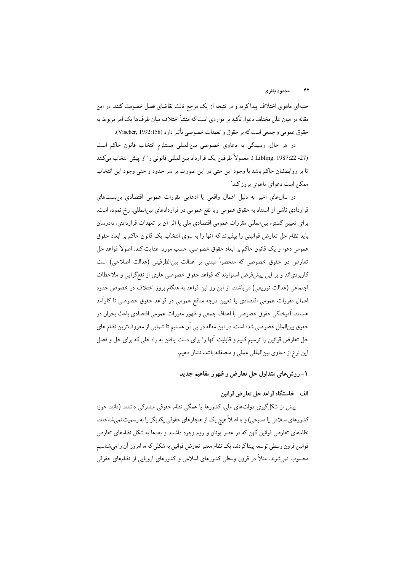جنبهای ماهوی اختلاف پیداکرده و در نتیجه از یک مرجع ثالث تقاضای فصل خصومت کنند. در این مقاله در میان علل مختلف دعوا، تأکید بر مواردی است که منشأ اختلاف میان طرف،ا یک امر مربوط به حقوق عمومي و جمعي است كه بر حقوق و تعهدات خصوصي تأثير دارد (Vischer, 1992:158).

در هر حال، رسیدگی به دعاوی خصوصی بین المللی مستلزم انتخاب قانون حاکم است (27- Libling, 1987:22 ). معمولاً طرفين يك قرارداد بين|لمللي قانوني را از ييش انتخاب ميكنند تا بر روابطشان حاکم باشد با وجود این حتبی در این صورت بر سر حدود و حتبی وجود این انتخاب ممکن است دعوای ماهوی بروز کند

در سالهای اخیر به دلیل اعمال واقعی یا ادعایی مقررات عمومی اقتصادی بن بستهای قراردادی ناشی از استناد به حقوق عمومی ویا نفع عمومی در قراردادهای بین|لمللی، رخ نموده است. برای تعیین گستره بین|لمللی مقررات عمومی اقتصادی ملی یا اثر آن بر تعهدات قراردادی، دادرسان باید نظام حل تعارض قوانینی را بیذیرند که آنها را به سوی انتخاب یک قانون حاکم بر ابعاد حقوق عمومي دعوا و يک قانون حاکم بر ابعاد حقوق خصوصي، حسب مورد، هدايت کند. اصولاً قواعد حل تعارض در حقوق خصوصی که منحصراً مبتنی بر عدالت بینالطرفینی (عدالت اصلاحی) است کاربردیاند و بر این پیشفرض استوارند که قواعد حقوق خصوصی عاری از نفعگرایی و ملاحظات اجتماعی (عدالت توزیعی) می باشند. از این رو این قواعد به هنگام بروز اختلاف در خصوص حدود اعمال مقررات عمومی اقتصادی یا تعیین درجه منافع عمومی در قواعد حقوق خصوصی نا کارآمد هستند. آمیختگی حقوق خصوصی با اهداف جمعی و ظهور مقررات عمومی اقتصادی باعث بحران در حقوق بینالملل خصوصی شده است. در این مقاله در پی آن هستیم تا شمایی از معروف ترین نظام های حل تعارض قوانین را ترسیم کنیم و قابلیت آنها را برای دست یافتن به راه حلی که برای حل و فصل این نوع از دعاوی بینالمللی عملی و منصفانه باشد، نشان دهیم.

۱- روشهای متداول حل تعارض و ظهور مفاهیم جدید

الف -خاستگاه قواعد حل تعارض قوانين

پیش از شکلگیری دولتهای ملی، کشورها یا همگی نظام حقوقی مشترکی داشتند (مانند حوزه کشورهای اسلامی یا مسیحی) و یا اصلاً هیچ یک از هنجارهای حقوقی یکدیگر را به رسمیت نمی شناختند. نظامهای تعارض قوانین کهن که در عصر یونان و روم وجود داشتند و بعدها به شکل نظامهای تعارض قوانین قرون وسطی توسعه پیداکردند، یک نظام معتبر تعارض قوانین به شکلی که ما امروز آن را میشناسیم محسوب نمی شوند. مثلاً در قرون وسطی کشورهای اسلامی و کشورهای اروپایی از نظامهای حقوقی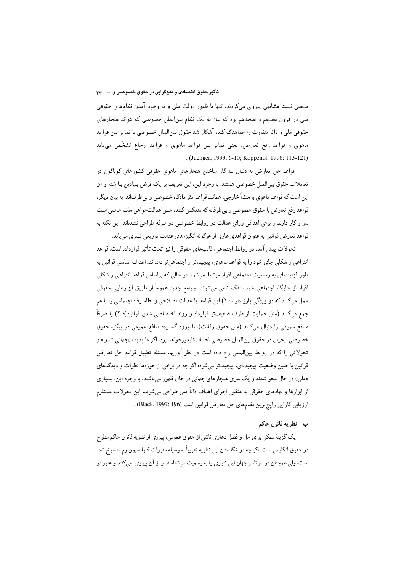### تأثیر حقوق اقتصادی و نفعگرایی در حقوق خصوصی و … ۴۳

مذهبی نسبتاً مشابهی پیروی میکردند. تنها با ظهور دولت ملی و به وجود آمدن نظامهای حقوقی ملی در قرون هفدهم و هیجدهم بود که نیاز به یک نظام بین|لملل خصوصی که بتواند هنجارهای حقوقی ملی و ذاتاً متفاوت را هماهنگ کند، آشکار شد.حقوق بین|لملل خصوصی با تمایز بین قواعد ماهوی و قواعد رفع تعارض، یعنی تمایز بین قواعد ماهوی و قواعد ارجاع تشخّص می،یابد . (Juenger, 1993: 6-10; Koppenol, 1996: 113-121)

قواعد حل تعارض به دنبال سازگار ساختن هنجارهای ماهوی حقوقی کشورهای گوناگون در تعاملات حقوق بین|لملل خصوصی هستند. با وجود این، این تعریف بر یک فرض بنیادین بنا شده و آن این است که قواعد ماهوی با منشأ خارجی، همانند قواعد مقر دادگاه خصوصی و بی طرفاند. به بیان دیگر، قواعد رفع تعارض با حقوق خصوصي و بيطرفانه كه منعكس كننده حس عدالتخواهي ملت خاصي است سر و کار دارند و برای اهدافی ورای عدالت در روابط خصوصی دو طرفه طراحی نشدهاند. این نکته به قواعد تعارض قوانین به عنوان قواعدي عاري از هرگونه انگيزهاي عدالت توزيعي تسري مييابد.

تحولات پیش آمده در روابط اجتماعی، قالبهای حقوقی را نیز تحت تأثیر قرارداده است. قواعد انتزاعی و شکلی جای خود را به قواعد ماهوی، پیچیدهتر و اجتماعیتر دادهاند. اهداف اساسی قوانین به طور فزایندهای به وضعیت اجتماعی افراد مرتبط میشود در حالی که براساس قواعد انتزاعی و شکلی افراد از جایگاه اجتماعی خود منفک تلقی میشوند. جوامع جدید عموماً از طریق ابزارهایی حقوقی عمل میکنند که دو ویژگی بارز دارند: ۱) این قواعد یا عدالت اصلاحی و نظام رفاه اجتماعی را با هم جمع مىكنند (مثل حمايت از طرف ضعيف تر قرارداد و روند اختصاصي شدن قوانين)؛ ٢) يا صرفاً منافع عمومی را دنبال میکنند (مثل حقوق رقابت). با ورود گسترده منافع عمومی در پیکره حقوق خصوصي، بحران در حقوق بين|لملل خصوصي اجتنابناپذيرخواهد بود. اگر ما پديده «جهاني شدن» و تحولاتی را که در روابط بین|لمللی رخ داده است در نظر آوریم. مسئله تطبیق قواعد حل تعارض قوانین با چنین وضعیت پیچیدهای، پیچیدهتر میشود؛ اگر چه در برخی از حوزهها نظرات و دیدگاههای «ملي» در حال محو شدند و يک سري هنجارهاي جهاني در حال ظهور مي باشند. با وجود اين، بسياري از ابزارها و نهادهای حقوقی به منظور اجرای اهداف ذاتاً ملی طراحی میشوند. این تحولات مستلزم ارزيابي كارايي رايج ترين نظام هاي حل تعارض قوانين است (196 :Black, 1997) .

## ب - نظريه قانون حاكم

يک گزينۀ ممکن براي حل و فصل دعاوي ناشي از حقوق عمومي، پيروي از نظريه قانون حاكم مطرح در حقوق انگلیس است. اگر چه در انگلستان این نظریه تقریباً به وسیله مقررات کنوانسیون رم منسوخ شده است، ولي همچنان در سرتاسر جهان اين تئوري را به رسميت ميشناسند و از آن پيروي ميكنند و هنوز در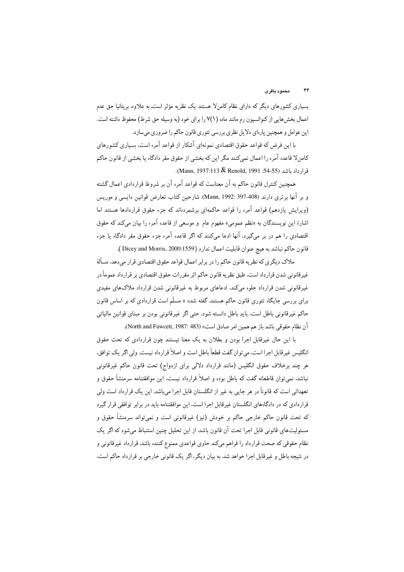بسیاری کشورهای دیگر که دارای نظام کامنلا هستند یک نظریه مؤثر است. به علاوه. بریتانیا حق عدم اعمال بخشهایی از کنوانسیون رم مانند ماده (۱/۷ را برای خود (به وسیله حق شرط) محفوظ داشته است. این عوامل و همچنین پارهای دلایل نظری بررسی تئوری قانون حاکم را ضروری میسازد.

با این فرض که قواعد حقوق اقتصادی نمونهای آشکار از قواعد آمره است، بسیاری کشورهای كامنلا قاعده آمره را اعمال نمىكنند مگر اين كه بخشى از حقوق مقر دادگاه يا بخشى از قانون حاكم قرارداد باشد (14-55: Mann, 1937:113 & Renold, 1991).

همچنین کنترل قانون حاکم به آن معناست که قواعد آمره آن بر شروط قراردادی اعمال گشته و بر آنها برتری دارند (Alann, 1992: 397-408). شارحین کتاب تعارض قوانین دایسی و موریس (ویرایش یازدهم) قواعد آمره را قواعد حاکمهای برشمردهاند که جزء حقوق قراردادها هستند اما اشارهٔ این نویسندگان به «نظم عمومی» مفهوم عام و موسعی از قاعده آمره را بیان میکند که حقوق اقتصادی را هم در بر میگیرد. آنها ادعا میکنند که اگر قاعده آمره جزء حقوق مقر دادگاه یا جزء قانون حاكم نباشد به هيچ عنوان قابليت اعمال ندارد (Dicey and Morris, 2000:1559 ).

ملاک دیگری که نظریه قانون حاکم را در برابر اعمال قواعد حقوق اقتصادی قرار میدهد، مسألهٔ غيرقانوني شدن قرارداد است. طبق نظريه قانون حاكم اثر مقررات حقوق اقتصادي بر قرارداد عموماً در غیرقانونی شدن قرارداد جلوه میکند. ادعاهای مربوط به غیرقانونی شدن قرارداد ملاکهای مفیدی برای بررسی جایگاه تئوری قانون حاکم هستند. گفته شده: « مسلّم است قراردادی که بر اساس قانون حاکم غیرقانونی باطل است، باید باطل دانسته شود. حتی اگر غیرقانونی بودن بر مبنای قوانین مالیاتی آن نظام حقوقي باشد باز هم همين امر صادق است» (North and Fawcett, 1987: 483).

با این حال غیرقابل اجرا بودن و بطلان به یک معنا نیستند چون قراردادی که تحت حقوق انگلیس غیرقابل اجرا است، می توان گفت قطعاً باطل است و اصلاً قرارداد نیست. ولی اگر یک توافق، هر چند برخلاف حقوق انگلیس (مانند قرارداد دلالی برای ازدواج) تحت قانون حاکم غیرقانونی نباشد. نمی توان قاطعانه گفت که باطل بوده و اصلاً قرارداد نیست. این موافقتنامه سرمنشأ حقوق و تعهداتی است که قانوناً در هر جایی به غیر از انگلستان قابل اجرا میباشد. این یک قرارداد است ولی قراردادی که در دادگاههای انگلستان غیرقابل اجرا است. این موافقتنامه باید در برابر توافقی قرار گیرد که تحت قانون حاکم خارجی حاکم بر خودش (نیز) غیرقانونی است و نمیتواند سرمنشأ حقوق و مسئولیتهای قانونی قابل اجرا تحت آن قانون باشد. از این تحلیل چنین استنباط میشود که اگر یک نظام حقوقی که صحت قرارداد را فراهم میکند حاوی قواعدی ممنوع کننده باشد، قرارداد غیرقانونی و در نتیجه باطل و غیرقابل اجرا خواهد شد. به بیان دیگر، اگر یک قانونی خارجی بر قرارداد حاکم است.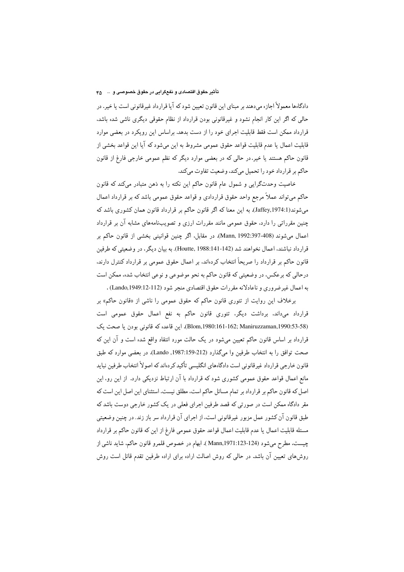#### تأثير حقوق اقتصادي و نفعگرايي در حقوق خصوصي و ٤٠٠٠ م

دادگاهها معمولاً اجازه میدهند بر مبنای این قانون تعیین شود که آیا قرارداد غیرقانونی است یا خیر. در حالی که اگر این کار انجام نشود و غیرقانونی بودن قرارداد از نظام حقوقی دیگری ناشی شده باشد. قرارداد ممکن است فقط قابلیت اجرای خود را از دست بدهد. براساس این رویکرد در بعضی موارد قابلیت اعمال یا عدم قابلیت قواعد حقوق عمومی مشروط به این میشود که آیا این قواعد بخشی از قانون حاکم هستند یا خیر. در حالی که در بعضی موارد دیگر که نظم عمومی خارجی فارغ از قانون حاکم بر قرارداد خود را تحمیل میکند، وضعیت تفاوت میکند.

خاصیت وحدتگرایی و شمول عام قانون حاکم این نکته را به ذهن متبادر میکند که قانون حاکم میتواند عملاً مرجع واحد حقوق قراردادی و قواعد حقوق عمومی باشد که بر قرارداد اعمال میشوند(Jaffey,1974:1). به این معنا که اگر قانون حاکم بر قرارداد قانون همان کشوری باشد که چنین مقرراتی را دارد، حقوق عمومی مانند مقررات ارزی و تصویبنامههای مشابه آن بر قرارداد اعمال میشوند (408-397:397 Mann, 1992). در مقابل، اگر چنین قوانینی بخشی از قانون حاکم بر قرارداد نباشند، اعمال نخواهند شد (Houtte, 1988:141-142). به بیان دیگر، در وضعیتی که طرفین قانون حاکم بر قرارداد را صریحاً انتخاب کردهاند. بر اعمال حقوق عمومی بر قرارداد کنترل دارند. درحالی که برعکس، در وضعیتی که قانون حاکم به نحو موضوعی و نوعی انتخاب شده، ممکن است به اعمال غير ضروري و ناعادلانه مقررات حقوق اقتصادي منجر شود (Lando,1949:12-112) .

برخلاف این روایت از تئوری قانون حاکم که حقوق عمومی را ناشی از «قانون حاکم» بر قرارداد میداند. برداشت دیگر، تئوری قانون حاکم به نفع اعمال حقوق عمومی است (Blom,1980:161-162; Maniruzzaman,1990:53-58). این قاعده که قانونی بودن یا صحت یک قرارداد بر اساس قانون حاکم تعیین میشود در یک حالت مورد انتقاد واقع شده است و آن این که صحت توافق را به انتخاب طرفين وا ميگذارد (212-1987:1987, Lando). در بعضي موارد كه طبق قانون خارجي قرارداد غيرقانوني است دادگاههاي انگليسي تأكيد كردهاند كه اصولاً انتخاب طرفين نبايد مانع اعمال قواعد حقوق عمومی کشوری شود که قرارداد با آن ارتباط نزدیکی دارد. از این رو، این اصل که قانون حاکم بر قرارداد بر تمام مسائل حاکم است، مطلق نیست. استثنای این اصل این است که مقر دادگاه ممکن است در صورتی که قصد طرفین اجرای فعلی در یک کشور خارجی دوست باشد که طبق قانون آن کشور عمل مزبور غیرقانونی است. از اجرای آن قرارداد سر باز زند. در چنین وضعیتی مسئله قابلیت اعمال یا عدم قابلیت اعمال قواعد حقوق عمومی فارغ از این که قانون حاکم بر قرارداد چیست، مطرح میشود (124-123\1971.123 ). ابهام در خصوص قلمرو قانون حاکم، شاید ناشی از روش های تعیین آن باشد. در حالی که روش اصالت اراده برای اراده طرفین تقدم قائل است روش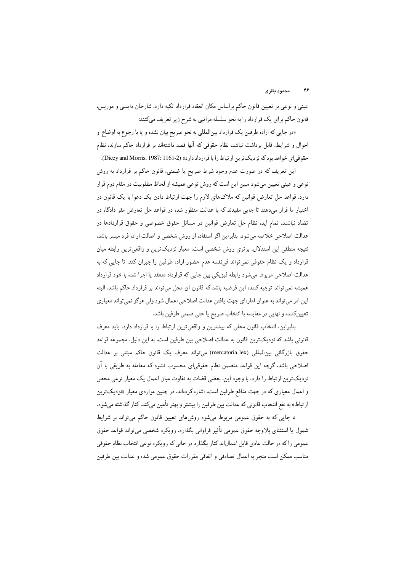عینی و نوعی بر تعیین قانون حاکم براساس مکان انعقاد قرارداد تکیه دارد. شارحان دایسی و موریس، قانون حاکم برای یک قرارداد را به نحو سلسله مراتبی به شرح زیر تعریف میکنند:

«در جايي كه اراده طرفين يك قرارداد بينالمللي به نحو صريح بيان نشده و يا با رجوع به اوضاع و احوال و شرايط، قابل برداشت نباشد، نظام حقوقی كه آنها قصد داشتهاند بر قرارداد حاكم سازند، نظام حقوقي اي خواهد بود كه نزديك ترين ارتباط را با قرارداد دارد» (2-Dicey and Morris, 1987: 1161).

این تعریف که در صورت عدم وجود شرط صریح یا ضمنی، قانون حاکم بر قرارداد به روش نوعی و عینی تعیین میشود مبین این است که روش نوعی همیشه از لحاظ مطلوبیت در مقام دوم قرار دارد. قواعد حل تعارض قوانین که ملاکهای لازم را جهت ارتباط دادن یک دعوا با یک قانون در اختیار ما قرار میدهند تا جایی مفیدند که با عدالت منظور شده در قواعد حل تعارض مقر دادگاه در تضاد نباشند. تمام ایده نظام حل تعارض قوانین در مسائل حقوق خصوصی و حقوق قراردادها در عدالت اصلاحی خلاصه میشود. بنابراین اگر استفاده از روش شخصی و اصالت اراده فرد میسر باشد، نتیجه منطقی این استدلال، برتری روش شخصی است. معیار نزدیکترین و واقعیترین رابطه میان قرارداد و یک نظام حقوقی نمیتواند فی،نفسه عدم حضور اراده طرفین را جبران کند. تا جایی که به عدالت اصلاحی مربوط میشود رابطه فیزیکی بین جایی که قرارداد منعقد یا اجرا شده با خود قرارداد هميشه نمي تواند توجيه كننده اين فرضيه باشد كه قانون آن محل مي تواند بر قرارداد حاكم باشد. البته این امر میتواند به عنوان امارهای جهت یافتن عدالت اصلاحی اعمال شود ولی هرگز نمیتواند معیاری تعيينكننده و نهايي در مقايسه با انتخاب صريح يا حتى ضمنى طرفين باشد.

بنابراین، انتخاب قانون محلی که بیشترین و واقعیترین ارتباط را با قرارداد دارد. باید معرف قانونی باشد که نزدیکترین قانون به عدالت اصلاحی بین طرفین است. به این دلیل، مجموعه قواعد حقوق بازرگانی بین|لمللی (mercatoria lex) میتواند معرف یک قانون حاکم مبتنی بر عدالت اصلاحی باشد، گرچه این قواعد متضمن نظام حقوقی|ی محسوب نشود که معامله به طریقی با آن نزدیکترین ارتباط را دارد. با وجود این، بعضی قضات به تفاوت میان اعمال یک معیار نوعی محض و اعمال معیاری که در جهت منافع طرفین است، اشاره کردهاند. در چنین مواردی معیار «نزدیکترین ارتباط» به نفع انتخاب قانوني كه عدالت بين طرفين را بيشتر و بهتر تأمين ميكند، كنار گذاشته ميشود.

تا جایبی که به حقوق عمومی مربوط میشود روشهای تعیین قانون حاکم میتواند بر شرایط شمول یا استثنای بلاوجه حقوق عمومی تأثیر فراوانی بگذارد. رویکرد شخصی میتواند قواعد حقوق عمومي راكه در حالت عادي قابل اعمالاند كنار بگذارد در حالي كه رويكرد نوعي انتخاب نظام حقوقي مناسب ممكن است منجر به اعمال تصادفي و اتفاقى مقررات حقوق عمومى شده و عدالت بين طرفين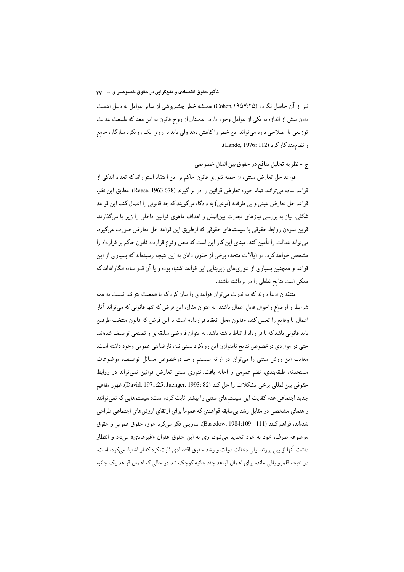#### تأثیر حقوق اقتصادی و نفعگرایی در حقوق خصوصی و … ۴۷

نیز از آن حاصل نگردد (Cohen,۱۹۵۷:۲۵). همیشه خطر چشمپوشی از سایر عوامل به دلیل اهمیت دادن بیش از اندازه به یکی از عوامل وجود دارد. اطمینان از روح قانون به این معنا که طبیعت عدالت توزیعی یا اصلاحی دارد میتواند این خطر راکاهش دهد ولی باید بر روی یک رویکرد سازگار، جامع و نظام مند کار کرد (Lando, 1976: 112).

## ج - نظريه تحليل منافع در حقوق بين الملل خصوصى

قواعد حل تعارض سنتی، از جمله تئوری قانون حاکم بر این اعتقاد استواراند که تعداد اندکی از قواعد ساده مي توانند تمام حوزه تعارض قوانين را در بر گيرند (Reese, 1963:678). مطابق اين نظر، قواعد حل تعارض عيني و بي طرفانه (نوعي) به دادگاه ميگويند كه چه قانوني را اعمال كند. اين قواعد شکلی، نیاز به بررسی نیازهای تجارت بین|لملل و اهداف ماهوی قوانین داخلی را زیر پا میگذارند. قرین نمودن روابط حقوقی با سیستمهای حقوقی که ازطریق این قواعد حل تعارض صورت میگیرد. میتواند عدالت را تأمین کند. مبنای این کار این است که محل وقوع قرارداد قانون حاکم بر قرارداد را مشخص خواهد کرد. در ایالات متحده برخی از حقوق دانان به این نتیجه رسیدهاند که بسیاری از این قواعد و همچنین بسیاری از تئوریهای زیربنایی این قواعد اشتباه بوده و یا آن قدر ساده انگارانهاند که ممکن است نتایج غلطی را در برداشته باشند.

منتقدان ادعا دارند که به ندرت می توان قواعدی را بیان کرد که با قطعیت بتوانند نسبت به همه شرایط و اوضاع واحوال قابل اعمال باشند. به عنوان مثال، این فرض که تنها قانونی که میتواند آثار اعمال یا وقایع را تعیین کند. «قانون محل انعقاد قرارداد» است یا این فرض که قانون منتخب طرفین باید قانونی باشد که با قرارداد ارتباط داشته باشد. به عنوان فروضی سلیقهای و تصنعی توصیف شدهاند. حتی در مواردی درخصوص نتایج نامتوازن این رویکرد سنتی نیز، نارضایتی عمومی وجود داشته است. معایب این روش سنتی را میتوان در ارائه سیستم واحد درخصوص مسائل توصیف، موضوعات مستحدثه، طبقهبندی، نظم عمومی و احاله یافت. تئوری سنتی تعارض قوانین نمیتواند در روابط حقوقي بين المللي برخي مشكلات را حل كند (David, 1971:25; Juenger, 1993: 82) ظهور مفاهيم جدید اجتماعی عدم کفایت این سیستمهای سنتی را بیشتر ثابت کرده است؛ سیستمهایی که نمی توانند راهنمای مشخصی در مقابل رشد بیسابقه قواعدی که عموماً برای ارتقای ارزش های اجتماعی طراحی شدهاند. فراهم كنند (111 - Basedow, 1984:109 - 111). ساويني فكر ميكرد حوزه حقوق عمومي و حقوق موضوعه صرف، خود به خود تحدید میشود. وی به این حقوق عنوان «غیرعادی» میداد و انتظار داشت آنها از بین بروند. ولی دخالت دولت و رشد حقوق اقتصادی ثابت کرد که او اشتباه میکرده است. در نتیجه قلمرو باقی مانده برای اعمال قواعد چند جانبه کوچک شد در حالی که اعمال قواعد یک جانبه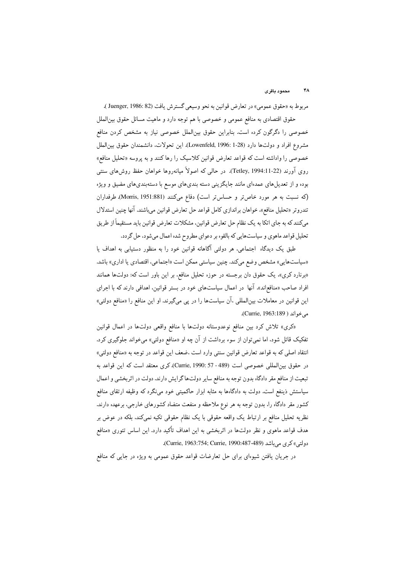مربوط به «حقوق عمومي» در تعارض قوانين به نحو وسيعي گسترش يافت (Juenger, 1986: 82). حقوق اقتصادی به منافع عمومی و خصوصی با هم توجه دارد و ماهیت مسائل حقوق بین|لملل خصوصی را دگرگون کرده است. بنابراین حقوق بینالملل خصوصی نیاز به مشخص کردن منافع مشروع افراد و دولتها دارد (Lowenfeld, 1996: 1-28). اين تحولات، دانشمندان حقوق بين|لملل خصوصی را واداشته است که قواعد تعارض قوانین کلاسیک را رها کنند و به پروسه «تحلیل منافع» روی آورند (Tetley, 1994:11-22). در حالی که اصولاً میانهروها خواهان حفظ روش(های سنتی بوده و از تعدیلهای عمدهای مانند جایگزینی دسته بندیهای موسع با دستهبندیهای مضیق و ویژه (که نسبت به هر مورد خاصتر و حساس تر است) دفاع میکنند (Morris, 1951:881). طرفداران تندروتر «تحليل منافع». خواهان براندازي كامل قواعد حل تعارض قوانين ميباشند. آنها چنين استدلال میکنند که به جای اتکا به یک نظام حل تعارض قوانین، مشکلات تعارض قوانین باید مستقیماً از طریق تحلیل قواعد ماهوی و سیاستهایی که بالقوه بر دعوای مطروح شده اعمال میشود، حل گردد.

طبق یک دیدگاه اجتماعی، هر دولتی آگاهانه قوانین خود را به منظور دستیابی به اهداف یا «سیاستهایی» مشخص وضع میکند. چنین سیاستی ممکن است «اجتماعی، اقتصادی یا اداری» باشد. «برنارد کری»، یک حقوق دان برجسته در حوزه تحلیل منافع، بر این باور است که: دولتها همانند افراد صاحب «منافع(ند». آنها در اعمال سیاستهای خود در بستر قوانین، اهدافی دارند که با اجرای این قوانین در معاملات بین|لمللی ،آن سیاستها را در پی میگیرند. او این منافع را «منافع دولتی» مه خواند ( Currie, 1963:189).

«کری» تلاش کرد بین منافع نوعدوستانه دولتها با منافع واقعی دولتها در اعمال قوانین تفکیک قائل شود. اما نمی توان از سوء برداشت از آن چه او «منافع دولتی» می خواند جلوگیری کرد. انتقاد اصلی که به قواعد تعارض قوانین سنتی وارد است ،ضعف این قواعد در توجه به «منافع دولتی» در حقوق بين المللي خصوصي است (Currie, 1990: 57 - 489). كرى معتقد است كه اين قواعد به تبعیت از منافع مقر دادگاه بدون توجه به منافع سایر دولتهاگرایش دارند. دولت در اثربخشی و اعمال سیاستش ذینفع است. دولت به دادگاهها به مثابه ابزار حاکمیتی خود مینگرد که وظیفه ارتقای منافع کشور مقر دادگاه را، بدون توجه به هر نوع ملاحظه و منفعت متضاد کشورهای خارجی، برعهده دارند. نظریه تحلیل منافع بر ارتباط یک واقعه حقوقی با یک نظام حقوقی تکیه نمیکند. بلکه در عوض بر هدف قواعد ماهوی و نظر دولتها در اثربخشی به این اهداف تأکید دارد. این اساس تئوری «منافع دولتي» كرى مى باشد (Currie, 1963:754; Currie, 1990:487-489).

در جریان یافتن شیوهای برای حل تعارضات قواعد حقوق عمومی به ویژه در جایی که منافع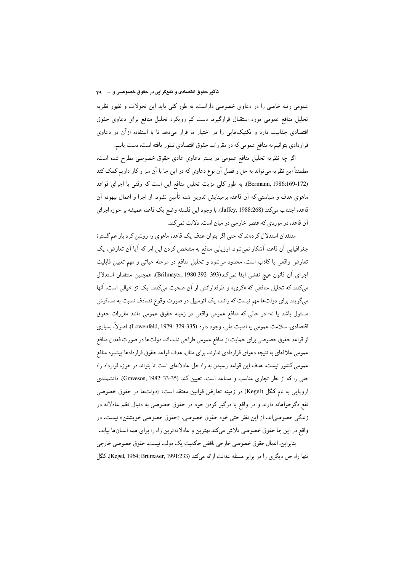#### تأثیر حقوق اقتصادی و نفعگرایی در حقوق خصوصی و … ۹۹

عمومی رتبه خاصی را در دعاوی خصوصی داراست، به طور کلبی باید این تحولات و ظهور نظریه تحلیل منافع عمومی مورد استقبال قرارگیرد. دست کم رویکرد تحلیل منافع برای دعاوی حقوق اقتصادی جذابیت دارد و تکنیکهایی را در اختیار ما قرار میدهد تا با استفاده ازآن در دعاوی قراردادي بتوانيم به منافع عمومي كه در مقررات حقوق اقتصادي تبلور يافته است، دست يابيم.

اگر چه نظریه تحلیل منافع عمومی در بستر دعاوی عادی حقوق خصوصی مطرح شده است. مطمئناً این نظریه میتواند به حل و فصل آن نوع دعاوی که در این جا با آن سر و کار داریم کمک کند (Bermann, 1986:169-172). به طور كلي مزيت تحليل منافع اين است كه وقتى با اجراى قواعد ماهوی هدف و سیاستی که آن قاعده برمبنایش تدوین شده تأمین نشود، از اجرا و اعمال بیهوده آن قاعده اجتناب ميكند (Jaffey, 1988:268). با وجود اين فلسفه وضع يك قاعده هميشه بر حوزه اجراي آن قاعده در موردي كه عنصر خارجي در ميان است، دلالت نمي كند.

منتقدان استدلال کردهاند که حتی اگر بتوان هدف یک قاعده ماهوی را روشن کرد باز هم گسترهٔ جغرافیایی آن قاعده آشکار نمیشود. ارزیابی منافع به مشخص کردن این امر که آیا آن تعارض، یک تعارض واقعی یا کاذب است. محدود میشود و تحلیل منافع در مرحله حیاتی و مهم تعیین قابلیت اجراى آن قانون هيچ نقشى ايفا نمى كند(393-392:392, Brilmayer, 1980). همچنين منتقدان استدلال میکنند که تحلیل منافعی که «کری» و طرفدارانش از آن صحبت میکنند. یک تز خیالی است. آنها میگویند برای دولتها مهم نیست که راننده یک اتومبیل در صورت وقوع تصادف نسبت به مسافرش مسئول باشد یا نه؛ در حالی که منافع عمومی واقعی در زمینه حقوق عمومی مانند مقررات حقوق اقتصادی، سلامت عمومی یا امنیت ملی، وجود دارد (335-329 Lowenfeld, 1979: اصولاً، بسیاری از قواعد حقوق خصوصي براي حمايت از منافع عمومي طراحي نشدهاند. دولتها در صورت فقدان منافع عمومی علاقهای به نتیجه دعوای قراردادی ندارند. برای مثال، هدف قواعد حقوق قراردادها پیشبرد منافع عمومی کشور نیست، هدف این قواعد رسیدن به راه حل عادلانهای است تا بتواند در حوزه قرارداد راه حلبي راكه از نظر تجاري مناسب و مساعد است. تعيين كند (Graveson, 1982: 33-35). دانشمندي اروپایی به نام کگل (Kegel) در زمینه تعارض قوانین معتقد است: «دولتها در حقوق خصوصی نفع دگرخواهانه دارند و در واقع با درگیر کردن خود در حقوق خصوصی به دنبال نظم عادلانه در زندگی خصوصیاند. از این نظر حتی خود حقوق خصوصی، «حقوق خصوصی خویشتن» نیست. در واقع در این جا حقوق خصوصی تلاش میکند بهترین و عادلانهترین راه را برای همه انسانها بیابد. بنابراین، اعمال حقوق خصوصی خارجی ناقض حاکمیت یک دولت نیست. حقوق خصوصی خارجی تنها راه حل دیگری را در برابر مسئله عدالت ارائه میکند (Kegel, 1964; Brilmayer, 1991:233). کگل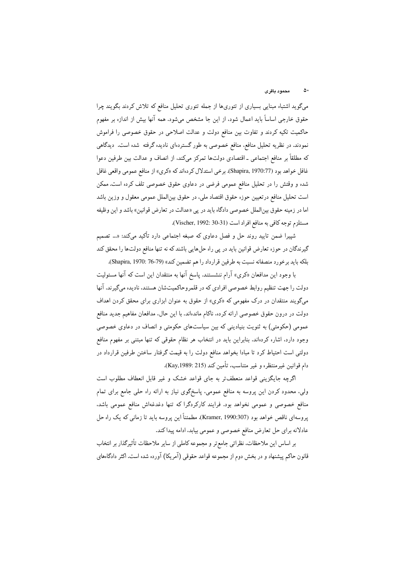#### محمود پاقری

میگوید اشتباه مبنایی بسیاری از تئوریها از جمله تئوری تحلیل منافع که تلاش کردند بگویند چرا حقوق خارجي اساساً بايد اعمال شود، از اين جا مشخص ميشود. همه آنها بيش از اندازه بر مفهوم حاکمیت تکیه کردند و تفاوت بین منافع دولت و عدالت اصلاحی در حقوق خصوصی را فراموش نمودند. در نظریه تحلیل منافع، منافع خصوصی به طور گستردهای نادیده گرفته شده است. دیدگاهی که مطلقاً بر منافع اجتماعی ـ اقتصادی دولتها تمرکز میکند. از انصاف و عدالت بین طرفین دعوا غافل خواهد بود (Shapira, 1970:77). برخي استدلال كردهاند كه «كري» از منافع عمومي واقعي غافل شده و وقتش را در تحلیل منافع عمومی فرضی در دعاوی حقوق خصوصی تلف کرده است. ممکن است تحلیل منافع درتعیین حوزه حقوق اقتصاد ملی، در حقوق بین|لملل عمومی معقول و وزین باشد اما در زمینه حقوق بین|لملل خصوصی دادگاه باید در پی «عدالت در تعارض قوانین» باشد و این وظیفه مستلزم توجه كافي به منافع افراد است (Vischer, 1992: 30-31).

شییرا ضمن تایید روند حل و فصل دعاوی که صبغه اجتماعی دارد تأکید میکند: «… تصمیم گیرندگان در حوزه تعارض قوانین باید در پی راه حلهایی باشند که نه تنها منافع دولتها را محقق کند بلكه بايد برخورد منصفانه نسبت به طرفين قرارداد را هم تضمين كند» (Shapira, 1970: 76-79).

با وجود این مدافعان «کری» آرام ننشستند. پاسخ آنها به منتقدان این است که آنها مسئولیت دولت را جهت تنظیم روابط خصوصی افرادی که در قلمروحاکمیتشان هستند، نادیده می گیرند. آنها میگویند منتقدان در درک مفهومی که «کری» از حقوق به عنوان ابزاری برای محقق کردن اهداف دولت در درون حقوق خصوصی ارائه کرده، ناکام ماندهاند. با این حال، مدافعان مفاهیم جدید منافع عمومی (حکومتی) به ثنویت بنیادینی که بین سیاستهای حکومتی و انصاف در دعاوی خصوصی وجود دارد، اشاره کردهاند. بنابراین باید در انتخاب هر نظام حقوقی که تنها مبتنی بر مفهوم منافع دولتی است احتیاط کرد تا مبادا بخواهد منافع دولت را به قیمت گرفتار ساختن طرفین قرارداد در دام قوانين غيرمنتظره و غير متناسب، تأمين كند (Kay,1989: 215).

اگرچه جایگزینی قواعد منعطفتر به جای قواعد خشک و غیر قابل انعطاف مطلوب است ولی، محدود کردن این پروسه به منافع عمومی، پاسخگوی نیاز به ارائه راه حلبی جامع برای تمام منافع خصوصی و عمومی نخواهد بود. فرایند کارکردگرا که تنها دغدغهاش منافع عمومی باشد. يروسهاى ناقص خواهد بود (Kramer, 1990:307). مطمئناً اين يروسه بايد تا زماني كه يك راه حل عادلانه براي حل تعارض منافع خصوصي و عمومي بيابد، ادامه پيداكند.

بر اساس این ملاحظات. نظراتی جامع تر و مجموعه کاملی از سایر ملاحظات تأثیرگذار بر انتخاب قانون حاکم پیشنهاد و در بخش دوم از مجموعه قواعد حقوقی (آمریکا) آورده شده است. اکثر دادگاههای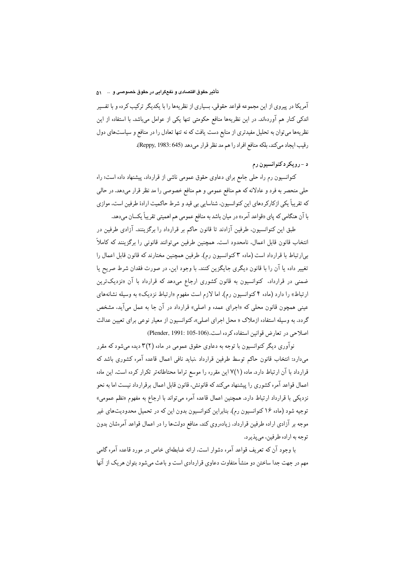#### تأثیر حقوق اقتصادی و نفعگرایی در حقوق خصوصی و ۱۰۰۰۰ م

آمریکا در پیروی از این مجموعه قواعد حقوقی، بسیاری از نظریهها را با یکدیگر ترکیب کرده و با تفسیر اندکی کنار هم آوردهاند. در این نظریهها منافع حکومتی تنها یکی از عوامل میباشد. با استفاده از این نظریهها میتوان به تحلیل مفیدتری از منابع دست یافت که نه تنها تعادل را در منافع و سیاستهای دول رقيب ايجاد مي كند، بلكه منافع افراد را هم مد نظر قرار مي دهد (1983: 645). Reppy, 1983).

# د - رويکرد کنوانسيون رم

کنوانسیون رم راه حلی جامع برای دعاوی حقوق عمومی ناشی از قرارداد. پیشنهاد داده است؛ راه حلي منحصر به فرد و عادلانه كه هم منافع عمومي و هم منافع خصوصي را مد نظر قرار مىدهد. در حالي که تقریباً یکی ازکارکردهای این کنوانسیون، شناسایی بی قید و شرط حاکمیت ارادهٔ طرفین است، موازی با آن هنگامی که پای «قواعد آمره» در میان باشد به منافع عمومی هم اهمیتی تقریباً یکسان میدهد.

طبق این کنوانسیون، طرفین آزادند تا قانون حاکم بر قرارداد را برگزینند. آزادی طرفین در انتخاب قانون قابل اعمال، نامحدود است. همچنین طرفین میتوانند قانونی را برگزینند که کاملاً بی|رتباط با قرارداد است (ماده ۳ کنوانسیون رم). طرفین همچنین مختارند که قانون قابل اعمال را تغییر داده یا آن را با قانون دیگری جایگزین کنند. با وجود این، در صورت فقدان شرط صریح یا ضمنی در قرارداد، کنوانسیون به قانون کشوری ارجاع میدهد که قرارداد با آن «نزدیکترین ارتباط» را دارد (ماده ۴ کنوانسیون رم). اما لازم است مفهوم «ارتباط نزدیک» به وسیله نشانههای عینی همچون قانون محلی که «اجرای عمده و اصلی» قرارداد در آن جا به عمل میآید. مشخص گردد. به وسیله استفاده ازملاک « محل اجرای اصلی»، کنوانسیون از معیار نوعی برای تعیین عدالت اصلاحی در تعارض قوانین استفاده کرده است.(106-105 Plender, 1991:

نوآوري ديگر کنوانسيون با توجه به دعاوي حقوق عمومي در ماده (٢)٢ ديده مي شود که مقرر میدارد: انتخاب قانون حاکم توسط طرفین قرارداد ،نباید نافی اعمال قاعده آمره کشوری باشد که قرارداد با آن ارتباط دارد. ماده (۱/۷ این مقرره را موسع تراما محتاطانهتر تکرار کرده است. این ماده اعمال قواعد آمره کشوری را پیشنهاد میکند که قانونش، قانون قابل اعمال برقرارداد نیست اما به نحو نزدیکی با قرارداد ارتباط دارد. همچنین اعمال قاعده آمره میتواند با ارجاع به مفهوم «نظم عمومی» توجیه شود (ماده ۱۶ کنوانسیون رم). بنابراین کنوانسیون بدون این که در تحمیل محدودیتهای غیر موجه بر آزادی اراده طرفین قرارداد، زیادهروی کند. منافع دولتها را در اعمال قواعد آمرهشان بدون توجه به اراده طرفین، مے بذیر د.

با وجود آن که تعریف قواعد آمره دشوار است. ارائه ضابطهای خاص در مورد قاعده آمره گامی مهم در جهت جدا ساختن دو منشأ متفاوت دعاوي قراردادي است و باعث مي شود بتوان هر يک از آنها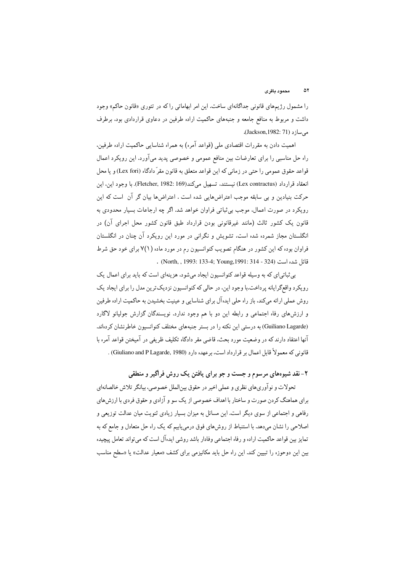را مشمول رژیمهای قانونی جداگانهای ساخت. این امر ابهاماتی راکه در تئوری «قانون حاکم» وجود داشت و مربوط به منافع جامعه و جنبههای حاکمیت اراده طرفین در دعاوی قراردادی بود، برطرف مي سازد (Jackson,1982: 71).

اهمیت دادن به مقررات اقتصادی ملی (قواعد آمره) به همراه شناسایی حاکمیت اراده طرفین، راه حل مناسبی را برای تعارضات بین منافع عمومی و خصوصی پدید میآورد. این رویکرد اعمال قواعد حقوق عمومي را حتى در زماني كه اين قواعد متعلق به قانون مقرّ دادگاه (Lex fori) و يا محل انعقاد قرارداد (Lex contractus) نيستند، تسهيل ميكند(Fletcher, 1982: 169). با وجود اين، اين حرکت بنیادین و بی سابقه موجب اعتراضهایی شده است . اعتراضها بیان گر آن است که این رویکرد در صورت اعمال، موجب بی ثباتی فراوان خواهد شد. اگر چه ارجاعات بسیار محدودی به قانون یک کشور ثالث (مانند غیرقانونی بودن قرارداد طبق قانون کشور محل اجرای آن) در انگلستان مجاز شمرده شده است، تشویش و نگرانی در مورد این رویکرد آن چنان در انگلستان فراوان بوده که این کشور در هنگام تصویب کنوانسیون رم در مورد ماده (۷(۱ برای خود حق شرط . (North, , 1993: 133-4; Young, 1991: 314 - 324) .

بی ثباتی ای که به وسیله قواعد کنوانسیون ایجاد می شود، هزینهای است که باید برای اعمال یک رویکرد واقع گرایانه پر داخت.با وجود این، در حالی که کنوانسیون نزدیک ترین مدل را برای ایجاد یک روش عملی ارائه میکند، باز راه حلی ایدهآل برای شناسایی و عینیت بخشیدن به حاکمیت اراده طرفین و ارزش های رفاه اجتماعی و رابطه این دو با هم وجود ندارد. نویسندگان گزارش جولیانو لاگارد (Guiliano Lagarde) به درستی این نکته را در بستر جنبههای مختلف کنوانسیون خاطرنشان کردهاند. ۔<br>آنها اعتقاد دارند که در وضعیت مورد بحث. قاضی مقر دادگاه تکلیف ظریفی در آمیختن قواعد آمره با قانوني كه معمولاً قابل اعمال بر قرارداد است، برعهده دارد (Giuliano and P Lagarde, 1980) .

۲- نقد شیوههای مرسوم و جست و جو برای یافتن یک روش فراگیر و منطقی

تحولات و نوآوريهاي نظري و عملي اخير در حقوق بينالملل خصوصي، بيانگر تلاش خالصانهاي برای هماهنگ کردن صورت و ساختار با اهداف خصوصی از یک سو و آزادی و حقوق فردی با ارزش های رفاهي و اجتماعي از سوي ديگر است. اين مسائل به ميزان بسيار زيادي ثنويت ميان عدالت توزيعي و اصلاحی را نشان میدهد. با استنباط از روشهای فوق درمییابیم که یک راه حل متعادل و جامع که به تمایز بین قواعد حاکمیت اراده و رفاه اجتماعی وفادار باشد روشی ایدهآل است که می تواند تعامل پیچیده بین این دوحوزه را تبیین کند. این راه حل باید مکانیزمی برای کشف «معیار عدالت» یا «سطح مناسب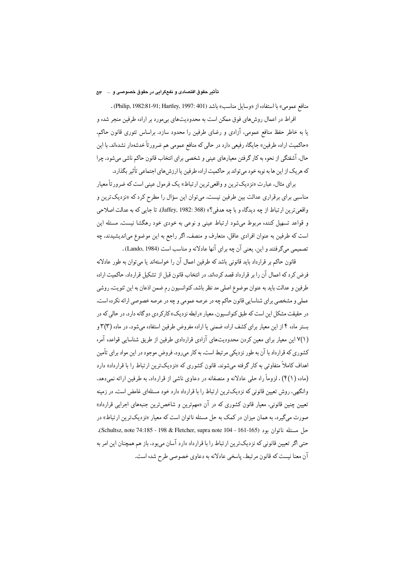### تأثیر حقوق اقتصادی و نفعگرایی در حقوق خصوصی و … ۵۳

منافع عمومي» با استفاده از «وسايل مناسب» باشد (Philip, 1982:81-91; Hartley, 1997: 401) . افراط در اعمال روشهای فوق ممکن است به محدودیتهای بیمورد بر اراده طرفین منجر شده و یا به خاطر حفظ منافع عمومی، آزادی و رضای طرفین را محدود سازد. براساس تئوری قانون حاکم. «حاکمیت اراده طرفین» جایگاه رفیعی دارد در حالی که منافع عمومی هم ضرور تاً خدشهدار نشدهاند. با این حال، آشفتگی از نحوه به کار گرفتن معیارهای عینی و شخصی برای انتخاب قانون حاکم ناشی میشود، چرا که هریک از این ها به نوبه خود میتواند بر حاکمیت اراده طرفین یا ارزش های اجتماعی تأثیر بگذارد.

براي مثال، عبارت «نزديکترين و واقعي ترين ارتباط» يک فرمول عيني است که ضرور تاً معيار مناسبی برای برقراری عدالت بین طرفین نیست. میتوان این سؤال را مطرح کرد که «نزدیکترین و واقعي ترين ارتباط از چه ديدگاه و با چه هدفي؟» (Jaffey, 1982: 368). تا جايي كه به عدالت اصلاحي و قواعد تسهیل کننده مربوط میشود ارتباط عینی و نوعی به خودی خود رهگشا نیست. مسئله این است که طرفین به عنوان افرادی عاقل، متعارف و منصف، اگر راجع به این موضوع می|ندیشیدند، چه تصميمي مي گرفتند و اين، يعني آن چه براي آنها عادلانه و مناسب است (Lando, 1984) .

قانون حاکم بر قرارداد باید قانونی باشد که طرفین اعمال آن را خواستهاند یا میتوان به طور عادلانه فرض کرد که اعمال آن را بر قرارداد قصد کردهاند. در انتخاب قانون قبل از تشکیل قرارداد، حاکمیت اراده طرفين و عدالت بايد به عنوان موضوع اصلي مد نظر باشد. كنوانسيون رم ضمن اذعان به اين ثنويت، روشي عملي و مشخصي براي شناسايي قانون حاكم چه در عرصه عمومي و چه در عرصه خصوصي ارائه نكرده است. در حقیقت مشکل این است که طبق کنوانسیون، معیار «رابطه نزدیک» کارکردی دو گانه دارد. در حالی که در بستر ماده ۴ از این معیار برای کشف اراده ضمنی یا اراده مفروض طرفین استفاده میشود، در ماده (۳)۳ و (٧(١) این معیار برای معین کردن محدودیتهای آزادی قراردادی طرفین از طریق شناسایی قواعده آمره کشوری که قرارداد با آن به طور نزدیکی مرتبط است. به کار میرود. فروض موجود در این مواد برای تأمین اهداف کاملاً متفاوتی به کار گرفته میشوند. قانون کشوری که «نزدیکترین ارتباط را با قرارداد» دارد (ماده ( ۴(۱) ، لزوماً راه حلی عادلانه و منصفانه در دعاوی ناشی از قرارداد، به طرفین ارائه نمی دهد. وانگهی، روش تعیین قانونی که نزدیکترین ارتباط را با قرارداد دارد خود مسئلهای غامض است. در زمینه تعیین چنین قانونی، معیار قانون کشوری که در آن «مهمترین و شاخصترین جنبههای اجرایی قرارداد» صورت میگیرد، به همان میزان در کمک به حل مسئله ناتوان است که معیار «نزدیکترین ارتباط» در حل مسئله ناتوان بود (Schultsz, note 74:185 - 198 & Fletcher, supra note 104 - 161-165). حتی اگر تعیین قانونی که نزدیکترین ارتباط را با قرارداد دارد آسان میبود، باز هم همچنان این امر به آن معنا نیست که قانون مرتبط، پاسخی عادلانه به دعاوی خصوصی طرح شده است.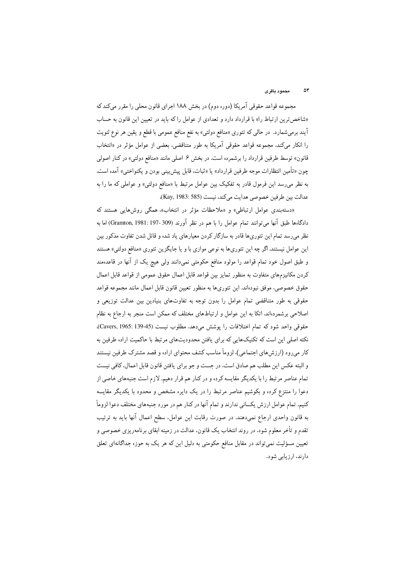#### محمود ماقرى  $\Delta r$

مجموعه قواعد حقوقي آمريكا (دوره دوم) در بخش ١٨٨ اجراي قانون محلي را مقرر ميكندكه «شاخص ترین ارتباط را» با قرارداد دارد و تعدادی از عوامل را که باید در تعیین این قانون به حساب آیند برمیشمارد. در حالبی که تئوری «منافع دولتبی» به نفع منافع عمومی با قطع و یقین هر نوع ثنویت را انکار می کند، مجموعه قواعد حقوقی آمریکا به طور متناقضی، بعضی از عوامل مؤثر در «انتخاب قانون» توسط طرفین قرارداد را برشمرده است. در بخش ۶ اصلی مانند «منافع دولتی» در کنار اصولی چون «تأمین انتظارات موجه طرفین قرارداد» یا «ثبات، قابل پیش بینی بودن و یکنواختبی» آمده است. به نظر می رسد این فرمول قادر به تفکیک بین عوامل مرتبط با «منافع دولتی» و عواملی که ما را به عدالت بين طرفين خصوصي هدايت مي كند، نيست (Kay, 1983: 585).

«دستهبندی عوامل ارتباطی» و «ملاحظات مؤثر در انتخاب». همگی روش هایی هستند که دادگاهها طبق آنها میتوانند تمام عوامل را با هم در نظر آورند (309-197: Gramton, 1981) اما به نظر می رسد تمام این تئوری،ا قادر به سازگار کردن معیارهای یاد شده و قائل شدن تفاوت مذکور بین این عوامل نیستند. اگر چه این تئوریها به نوعی موازی با و یا جایگزین تئوری «منافع دولتی» هستند و طبق اصول خود تمام قواعد را مولود منافع حکومتی نمیدانند ولی هیچ یک از آنها در قاعدهمند كردن مكانيزمهاي متفاوت به منظور تمايز بين قواعد قابل اعمال حقوق عمومي از قواعد قابل اعمال حقوق خصوصی، موفق نبودهاند. این تئوری،ها به منظور تعیین قانون قابل اعمال مانند مجموعه قواعد حقوقی به طور متناقضی تمام عوامل را بدون توجه به تفاوتهای بنیادین بین عدالت توزیعی و اصلاحی برشمردهاند. اتکا به این عوامل و ارتباطهای مختلف که ممکن است منجر به ارجاع به نظام حقوقي واحد شود كه تمام اختلافات را يوشش مي دهد، مطلوب نيست (Cavers, 1965: 139-45). .<br>نکته اصلی این است که تکنیکهایی که برای یافتن محدودیتهای مرتبط با حاکمیت اراده طرفین به کار میرود (ارزش های اجتماعی)، لزوماً مناسب کشف محتوای اراده و قصد مشترک طرفین نیستند و البته عكس اين مطلب هم صادق است. در جست و جو براي يافتن قانون قابل اعمال، كافي نيست تمام عناصر مرتبط را با یکدیگر مقایسه کرده و در کنار هم قرار دهیم. لازم است جنبههای خاصی از دعوا را منتزع کرده و بکوشیم عناصر مرتبط را در یک دایره مشخص و محدود با یکدیگر مقایسه کنیم. تمام عوامل ارزش یکسانی ندارند و تمام آنها در کنار هم در مورد جنبههای مختلف دعوا لزوماً به قانون واحدی ارجاع نمیدهند. در صورت رقابت این عوامل، سطح اعمال آنها باید به ترتیب تقدم و تأخر معلوم شود. در روند انتخاب یک قانون، عدالت در زمینه ابقای برنامهریزی خصوصی و تعیین مسؤلیت نمیتواند در مقابل منافع حکومتی به دلیل این که هر یک به حوزه جداگانهای تعلق دارند، ارزیابی شود.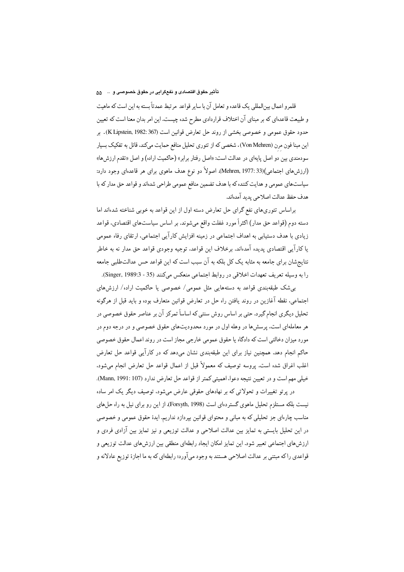### تأثير حقوق اقتصادى و نفعگرايى در حقوق خصوصى و … ۵۵

قلمرو اعمال بین|لمللی یک قاعده و تعامل آن با سایر قواعد مرتبط عمدتاً بسته به این است که ماهیت و طبیعت قاعدهای که بر مبنای آن اختلاف قراردادی مطرح شده چیست. این امر بدان معنا است که تعیین حدود حقوق عمومي و خصوصي بخشبي از روند حل تعارض قوانين است (K Lipstein, 1982: 367). بر این مبنا فون مرن (Von Mehren)، شخصی که از تئوری تحلیل منافع حمایت میکند. قائل به تفکیک بسیار سودمندی بین دو اصل پایهای در عدالت است: «اصل رفتار برابر» (حاکمیت اراده) و اصل «تقدم ارزشها» (ارزشهای اجتماعی)(Mehren, 1977: 33). اصولاً دو نوع هدف ماهوی برای هر قاعدهای وجود دارد: سیاستهای عمومی و هدایت کننده که با هدف تضمین منافع عمومی طراحی شدهاند و قواعد حق مدار که با هدف حفظ عدالت اصلاحي يديد آمدهاند.

براساس تئوري هاي نفع گراي حل تعارض دسته اول از اين قواعد به خوبي شناخته شدهاند اما دسته دوم (قواعد حق مدار) اکثراً مورد غفلت واقع میشوند. بر اساس سیاستهای اقتصادی، قواعد زیادی با هدف دستیابی به اهداف اجتماعی در زمینه افزایش کارآیی اجتماعی، ارتقای رفاه عمومی يا كارآيي اقتصادي يديده آمدهاند. برخلاف اين قواعد، توجيه وجودي قواعد حق مدار نه به خاطر نتایجشان برای جامعه به مثابه یک کل بلکه به آن سبب است که این قواعد حس عدالتطلبی جامعه را به وسيله تعريف تعهدات اخلاقي در روابط اجتماعي منعكس مي كنند (35 - Singer, 1989:3).

بےشک طبقهبندی قواعد به دستههایی مثل عمومی/ خصوصی یا حاکمیت اراده/ ارزش های اجتماعی، نقطه آغازین در روند یافتن راه حل در تعارض قوانین متعارف بوده و باید قبل از هرگونه تحلیل دیگری انجام گیرد. حتی بر اساس روش سنتی که اساساً تمرکز آن بر عناصر حقوق خصوصی در هر معاملهای است، پرسش ها در وهله اول در مورد محدودیتهای حقوق خصوصی و در درجه دوم در مورد میزان دخالتی است که دادگاه یا حقوق عمومی خارجی مجاز است در روند اعمال حقوق خصوصی حاکم انجام دهد. همچنین نیاز برای این طبقهبندی نشان میدهد که در کارآیی قواعد حل تعارض اغلب اغراق شده است. پروسه توصیف که معمولاً قبل از اعمال قواعد حل تعارض انجام میشود. خيلي مهم است و در تعيين نتيجه دعوا، اهميتي كمتر از قواعد حل تعارض ندارد (Mann, 1991: 107). در پرتو تغییرات و تحولاتی که بر نهادهای حقوقی عارض میشود، توصیف دیگر یک امر ساده

نیست بلکه مستلزم تحلیل ماهوی گستردهای است (Forsyth, 1998). از این رو برای نیل به راه حل های مناسب چارهای جز تحلیلی که به مبانی و محتوای قوانین بیردازد نداریم. ایدهٔ حقوق عمومی و خصوصی در این تحلیل بایستی به تمایز بین عدالت اصلاحی و عدالت توزیعی و نیز تمایز بین آزادی فردی و ارزشهای اجتماعی تعبیر شود. این تمایز امکان ایجاد رابطهای منطقی بین ارزشهای عدالت توزیعی و قواعدي راكه مبتني بر عدالت اصلاحي هستند به وجود ميأورد؛ رابطهاي كه به ما اجازهٔ توزيع عادلانه و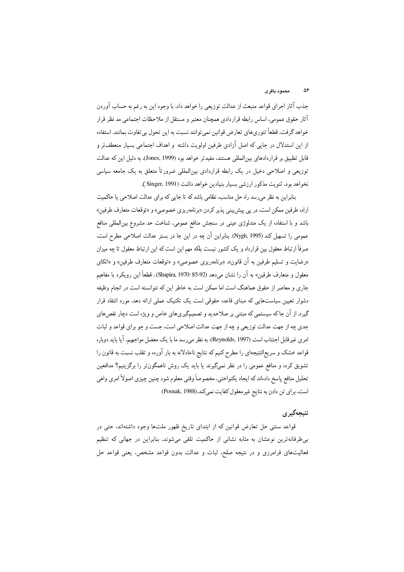جذب آثار اجراي قواعد منبعث از عدالت توزيعي را خواهد داد. با وجود اين به رغم به حساب آوردن آثار حقوق عمومي، اساس رابطه قراردادي همچنان معتبر و مستقل از ملاحظات اجتماعي مد نظر قرار خواهد گرفت. قطعاً تئوري،اي تعارض قوانين نمي توانند نسبت به اين تحول بي تفاوت بمانند. استفاده از این استدلال در جایی که اصل آزادی طرفین اولویت داشته و اهداف اجتماعی بسیار منعطفتر و قابل تطبیق بر قراردادهای بینالمللی هستند، مفیدتر خواهد بود (Jones, 1999). به دلیل این که عدالت توزیعی و اصلاحی دخیل در یک رابطه قراردادی بین|لمللی ضرورتاً متعلق به یک جامعه سیاسی نخواهد بود، ثنويت مذكور ارزشي بسيار بنيادين خواهد داشت (Singer, 1991 ).

بنابراین به نظر می رسد راه حل مناسب، نظامی باشد که تا جایی که برای عدالت اصلاحی یا حاکمیت اراده طرفین ممکن است، در پی پیش بینی پذیر کردن «برنامهریزی خصوصی» و «توقعات متعارف طرفین» باشد و با استفاده از یک متدلوژی عینی در سنجش منافع عمومی، شناخت حد مشروع بین|لمللی منافع عمومی را تسهیل کند (Nygh, 1995). بنابراین آن چه در این جا در بستر عدالت اصلاحی مطرح است. صرفاً ارتباط معقول بین قرارداد و یک کشور نیست بلکه مهم این است که این ارتباط معقول تا چه میزان «رضایت و تسلیم طرفین به آن قانون». «برنامهریزی خصوصی» و «توقعات متعارف طرفین» و «اتکای معقول و متعارف طرفين» به آن را نشان مىدهد (Shapira, 1970: 85-92). قطعاً اين رويكرد با مفاهيم جاری و معاصر از حقوق هماهنگ است اما ممکن است به خاطر این که نتوانسته است در انجام وظیفه دشوار تعیین سیاستهایی که مبنای قاعده حقوقی است یک تکنیک عملی ارائه دهد. مورد انتقاد قرار گیرد. از آن جا که سیستمی که مبتنی بر صلاحدید و تصمیمگیریهای خاص و ویژه است دچار نقصهای جدي چه از جهت عدالت توزيعي و چه از جهت عدالت اصلاحي است، جست و جو براي قواعد و ثبات امري غير قابل اجتناب است (Reynolds, 1997). به نظر مي رسد ما با يک معضل مواجهيم. آيا بايد دوباره قواعد خشک و سریع|لنتیجهای را مطرح کنیم که نتایج ناعادلانه به بار آورده و تقلب نسبت به قانون را تشویق کرده و منافع عمومی را در نظر نمیگیرند یا باید یک روش ناهمگون تر را برگزینیم؟ مدافعین تحلیل منافع پاسخ دادهاند که ایجاد یکنواختی، مخصوصاً وقتی معلوم شود چنین چیزی اصولاً امری واهی است. برای تن دادن به نتایج غیرمعقول کفایت نمیکند.(Posnak, 1988)

## نتيجەگير ي

قواعد سنتبی حل تعارض قوانین که از ابتدای تاریخ ظهور ملتها وجود داشتهاند. حتبی در بی طرفانهترین نوعشان به مثابه نشانی از حاکمیت تلقی میشوند. بنابراین در جهانی که تنظیم فعالیتهای فرامرزی و در نتیجه صلح، ثبات و عدالت بدون قواعد مشخص، یعنی قواعد حل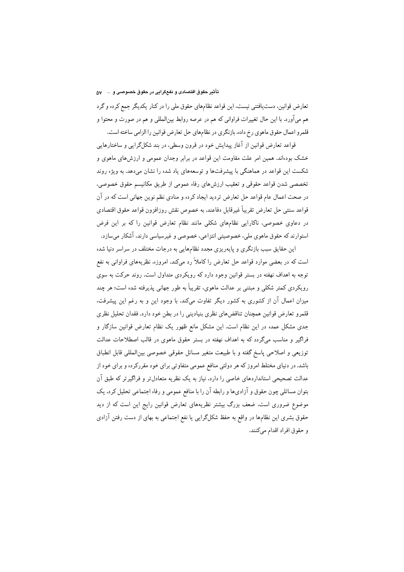تأثير حقوق اقتصادي و نفعگرايي در حقوق خصوصي و … ٥٧

تعارض قوانین، دستیافتنی نیست، این قواعد نظامهای حقوق ملی را در کنار یکدیگر جمع کرده و گرد هم میآورد. با این حال تغییرات فراوانی که هم در عرصه روابط بین|لمللی و هم در صورت و محتوا و قلمرو اعمال حقوق ماهوي رخ داده، بازنگري در نظامهاي حل تعارض قوانين را الزامي ساخته است.

قواعد تعارض قوانین از آغاز پیدایش خود در قرون وسطی، در بند شکلگرایی و ساختارهایی خشک بودهاند. همین امر علت مقاومت این قواعد در برابر وجدان عمومی و ارزش های ماهوی و شکست این قواعد در هماهنگی با پیشرفتها و توسعههای یاد شده را نشان میدهد. به ویژه روند تخصصی شدن قواعد حقوقی و تعقیب ارزشهای رفاه عمومی از طریق مکانیسم حقوق خصوصی، در صحت اعمال عام قواعد حل تعارض تردید ایجاد کرده و منادی نظم نوین جهانی است که در آن قواعد سنتبي حل تعارض تقريباً غيرقابل دفاعند. به خصوص نقش روزافزون قواعد حقوق اقتصادي در دعاوی خصوصی، ناکارایی نظامهای شکلی مانند نظام تعارض قوانین را که بر این فرض استوارند که حقوق ماهوی ملی، خصوصیتی انتزاعی، خصوصی و غیرسیاسی دارند، آشکار میسازد.

این حقایق سبب بازنگری و پایهریزی مجدد نظامهایی به درجات مختلف در سراسر دنیا شده است که در بعضی موارد قواعد حل تعارض را کاملاً رد میکند. امروزه، نظریههای فراوانی به نفع توجه به اهداف نهفته در بستر قوانین وجود دارد که رویکردی متداول است. روند حرکت به سوی رویکردی کمتر شکلی و مبتنبی بر عدالت ماهوی، تقریباً به طور جهانی پذیرفته شده است؛ هر چند میزان اعمال آن از کشوری به کشور دیگر تفاوت میکند. با وجود این و به رغم این پیشرفت. قلمرو تعارض قوانین همچنان تناقضهای نظری بنیادینی را در بطن خود دارد. فقدان تحلیل نظری جدی مشکل عمده در این نظام است. این مشکل مانع ظهور یک نظام تعارض قوانین سازگار و فراگیر و مناسب میگردد که به اهداف نهفته در بستر حقوق ماهوی در قالب اصطلاحات عدالت توزيعي و اصلاحي پاسخ گفته و با طبيعت متغير مسائل حقوقي خصوصي بين|لمللي قابل انطباق باشد. در دنیای مختلط امروز که هر دولتی منافع عمومی متفاوتی برای خود مقررکرده و برای خود از عدالت تصحیحی استانداردهای خاصی را دارد. نیاز به یک نظریه متعادل تر و فراگیر تر که طبق آن بتوان مسائلی چون حقوق و آزادیها و رابطه آن را با منافع عمومی و رفاه اجتماعی تحلیل کرد، یک موضوع ضروری است. ضعف بزرگ بیشتر نظریههای تعارض قوانین رایج این است که از دید حقوق بشری این نظامها در واقع به حفظ شکلگرایی یا نفع اجتماعی به بهای از دست رفتن آزادی و حقوق افراد اقدام میکنند.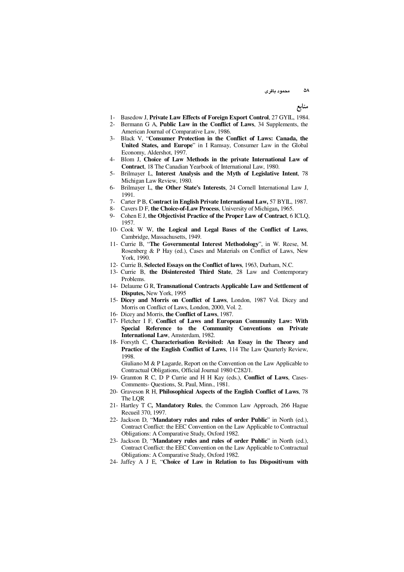منابع

- 1- Basedow J, **Private Law Effects of Foreign Export Control**, 27 GYIL, 1984.
- 2- Bermann G A, **Public Law in the Conflict of Laws**, 34 Supplements, the American Journal of Comparative Law, 1986.
- 3- Black V, "**Consumer Protection in the Conflict of Laws: Canada, the United States, and Europe**" in I Ramsay, Consumer Law in the Global Economy, Aldershot, 1997.
- 4- Blom J, **Choice of Law Methods in the private International Law of Contract**, 18 The Canadian Yearbook of International Law, 1980.
- 5- Brilmayer L, **Interest Analysis and the Myth of Legislative Intent**, 78 Michigan Law Review, 1980.
- 6- Brilmayer L, **the Other State's Interests**, 24 Cornell International Law J, 1991.
- 7- Carter P B, **Contract in English Private International Law,** 57 BYIL, 1987.
- 8- Cavers D F, **the Choice-of-Law Process**, University of Michigan**,** 1965.
- 9- Cohen E J, **the Objectivist Practice of the Proper Law of Contract**, 6 ICLQ, 1957.
- 10- Cook W W, **the Logical and Legal Bases of the Conflict of Laws**, Cambridge, Massachusetts, 1949.
- 11- Currie B, "**The Governmental Interest Methodology**", in W. Reese, M. Rosenberg & P Hay (ed.), Cases and Materials on Conflict of Laws, New York, 1990.
- 12- Currie B, **Selected Essays on the Conflict of laws**, 1963, Durham, N.C.
- 13- Currie B, **the Disinterested Third State**, 28 Law and Contemporary Problems.
- 14- Delaume G R, **Transnational Contracts Applicable Law and Settlement of Disputes,** New York, 1995
- 15- **Dicey and Morris on Conflict of Laws**, London, 1987 Vol. Dicey and Morris on Conflict of Laws, London, 2000, Vol. 2.
- 16- Dicey and Morris, **the Conflict of Laws**, 1987.
- 17- Fletcher I F, **Conflict of Laws and European Community Law: With Special Reference to the Community Conventions on Private International Law**, Amsterdam, 1982.
- 18- Forsyth C, **Characterisation Revisited: An Essay in the Theory and Practice of the English Conflict of Laws**, 114 The Law Quarterly Review, 1998.

Giuliano M & P Lagarde, Report on the Convention on the Law Applicable to Contractual Obligations, Official Journal 1980 C282/1.

- 19- Gramton R C, D P Currie and H H Kay (eds.), **Conflict of Laws**, Cases-Comments- Questions, St. Paul, Minn., 1981.
- 20- Graveson R H, **Philosophical Aspects of the English Conflict of Laws**, 78 The LQR
- 21- Hartley T C**, Mandatory Rules**, the Common Law Approach, 266 Hague Recueil 370, 1997.
- 22- Jackson D, "**Mandatory rules and rules of order Public**" in North (ed.), Contract Conflict: the EEC Convention on the Law Applicable to Contractual Obligations: A Comparative Study, Oxford 1982.
- 23- Jackson D, "**Mandatory rules and rules of order Public**" in North (ed.), Contract Conflict: the EEC Convention on the Law Applicable to Contractual Obligations: A Comparative Study, Oxford 1982.
- 24- Jaffey A J E, "**Choice of Law in Relation to Ius Dispositivum with**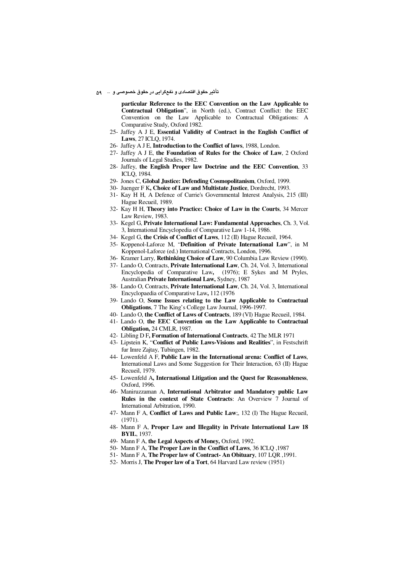تأثير حقوق اقتصادي و نفعگرايي در حقوق خصوصي و ٤٠٠٠ م

particular Reference to the EEC Convention on the Law Applicable to Contractual Obligation", in North (ed.), Contract Conflict: the EEC Convention on the Law Applicable to Contractual Obligations: A Comparative Study, Oxford 1982.

- 25- Jaffey A J E, Essential Validity of Contract in the English Conflict of Laws, 27 ICLQ, 1974.
- 26- Jaffey A J E. Introduction to the Conflict of laws. 1988. London.
- 27- Jaffey A J E, the Foundation of Rules for the Choice of Law, 2 Oxford Journals of Legal Studies, 1982.
- 28- Jaffey, the English Proper law Doctrine and the EEC Convention, 33 ICLO, 1984.
- 29- Jones C, Global Justice: Defending Cosmopolitanism, Oxford, 1999.
- 30- Juenger F K, Choice of Law and Multistate Justice, Dordrecht, 1993.
- 31- Kay H H, A Defence of Currie's Governmental Interest Analysis, 215 (III) Hague Recueil, 1989.
- 32- Kay H H, Theory into Practice: Choice of Law in the Courts, 34 Mercer Law Review, 1983.
- 33- Kegel G, Private International Law: Fundamental Approaches, Ch. 3, Vol. 3, International Encyclopedia of Comparative Law 1-14, 1986.
- 34- Kegel G, the Crisis of Conflict of Laws, 112 (II) Hague Recueil, 1964.
- 35- Koppenol-Laforce M, "Definition of Private International Law", in M Koppenol-Laforce (ed.) International Contracts, London, 1996.
- 36- Kramer Larry, Rethinking Choice of Law, 90 Columbia Law Review (1990).
- 37- Lando O, Contracts, Private International Law, Ch. 24, Vol. 3, International Encyclopedia of Comparative Law, (1976); E Sykes and M Pryles, Australian Private International Law, Sydney, 1987
- 38- Lando O, Contracts, Private International Law, Ch. 24, Vol. 3, International Encyclopaedia of Comparative Law, 112 (1976)
- 39- Lando O, Some Issues relating to the Law Applicable to Contractual Obligations, 7 The King's College Law Journal, 1996-1997.
- 40- Lando O, the Conflict of Laws of Contracts, 189 (VI) Hague Recueil, 1984.
- 41- Lando O, the EEC Convention on the Law Applicable to Contractual Obligation, 24 CMLR, 1987.
- 42- Libling D F, Formation of International Contracts, 42 The MLR 1971
- 43- Lipstein K, "Conflict of Public Laws-Visions and Realities", in Festschrift fur Imre Zajtay, Tubingen, 1982.
- 44- Lowenfeld A F, Public Law in the International arena: Conflict of Laws, International Laws and Some Suggestion for Their Interaction, 63 (II) Hague Recueil, 1979.
- 45- Lowenfeld A, International Litigation and the Quest for Reasonableness, Oxford, 1996.
- 46- Maniruzzaman A, International Arbitrator and Mandatory public Law **Rules in the context of State Contracts:** An Overview 7 Journal of International Arbitration, 1990.
- 47- Mann F A, Conflict of Laws and Public Law;, 132 (I) The Hague Recueil,  $(1971)$ .
- 48- Mann F A, Proper Law and Illegality in Private International Law 18 **BYIL, 1937.**
- 49- Mann F A, the Legal Aspects of Money, Oxford, 1992.
- 50- Mann F A, The Proper Law in the Conflict of Laws, 36 ICLO , 1987
- 51- Mann F A, The Proper law of Contract-An Obituary, 107 LQR, 1991.
- 52- Morris J, The Proper law of a Tort, 64 Harvard Law review (1951)